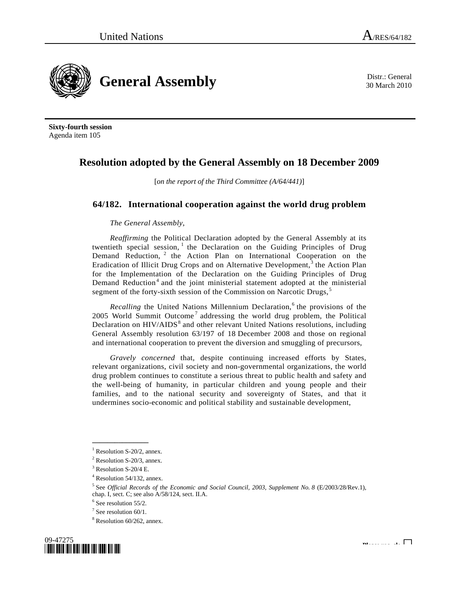30 March 2010



**Sixty-fourth session**  Agenda item 105

## **Resolution adopted by the General Assembly on 18 December 2009**

[*on the report of the Third Committee (A/64/441)*]

## **64/182. International cooperation against the world drug problem**

*The General Assembly*,

*Reaffirming* the Political Declaration adopted by the General Assembly at its twentieth special session,  $\frac{1}{1}$  the Declaration on the Guiding Principles of Drug Demand Reduction, <sup>2</sup> the Action Plan on International Cooperation on the Eradication of Illicit Drug Crops and on Alternative Development,<sup>3</sup> the Action Plan for the Implementation of the Declaration on the Guiding Principles of Drug Demand Reduction<sup>4</sup> and the joint ministerial statement adopted at the ministerial segment of the forty-sixth session of the Commission on Narcotic Drugs,<sup>5</sup>

Recalling the United Nations Millennium Declaration,<sup>6</sup> the provisions of the 2005 World Summit Outcome<sup>7</sup> addressing the world drug problem, the Political Declaration on HIV/AIDS<sup>8</sup> and other relevant United Nations resolutions, including General Assembly resolution 63/197 of 18 December 2008 and those on regional and international cooperation to prevent the diversion and smuggling of precursors,

*Gravely concerned* that, despite continuing increased efforts by States, relevant organizations, civil society and non-governmental organizations, the world drug problem continues to constitute a serious threat to public health and safety and the well-being of humanity, in particular children and young people and their families, and to the national security and sovereignty of States, and that it undermines socio-economic and political stability and sustainable development,

<sup>8</sup> Resolution 60/262, annex.



 $<sup>1</sup>$  Resolution S-20/2, annex.</sup>

 $2^2$  Resolution S-20/3, annex.

 $3$  Resolution S-20/4 E.

<sup>4</sup> Resolution 54/132, annex.

<sup>&</sup>lt;sup>5</sup> See *Official Records of the Economic and Social Council, 2003, Supplement No. 8 (E/2003/28/Rev.1),* 

chap. I, sect. C; see also A/58/124, sect. II.A.

 $6$  See resolution 55/2.

 $7$  See resolution 60/1.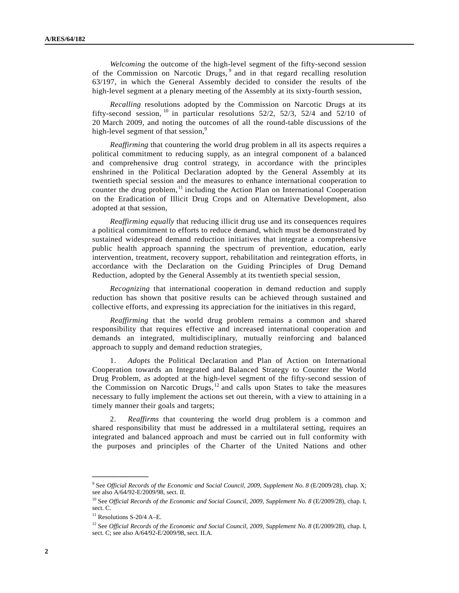*Welcoming* the outcome of the high-level segment of the fifty-second session of the Commission on Narcotic Drugs,  $9$  and in that regard recalling resolution 63/197, in which the General Assembly decided to consider the results of the high-level segment at a plenary meeting of the Assembly at its sixty-fourth session,

*Recalling* resolutions adopted by the Commission on Narcotic Drugs at its fifty-second session, <sup>10</sup> in particular resolutions 52/2, 52/3, 52/4 and 52/10 of 20 March 2009, and noting the outcomes of all the round-table discussions of the high-level segment of that session, $9$ 

*Reaffirming* that countering the world drug problem in all its aspects requires a political commitment to reducing supply, as an integral component of a balanced and comprehensive drug control strategy, in accordance with the principles enshrined in the Political Declaration adopted by the General Assembly at its twentieth special session and the measures to enhance international cooperation to counter the drug problem,  $11$  including the Action Plan on International Cooperation on the Eradication of Illicit Drug Crops and on Alternative Development, also adopted at that session,

*Reaffirming equally* that reducing illicit drug use and its consequences requires a political commitment to efforts to reduce demand, which must be demonstrated by sustained widespread demand reduction initiatives that integrate a comprehensive public health approach spanning the spectrum of prevention, education, early intervention, treatment, recovery support, rehabilitation and reintegration efforts, in accordance with the Declaration on the Guiding Principles of Drug Demand Reduction, adopted by the General Assembly at its twentieth special session,

*Recognizing* that international cooperation in demand reduction and supply reduction has shown that positive results can be achieved through sustained and collective efforts, and expressing its appreciation for the initiatives in this regard,

*Reaffirming* that the world drug problem remains a common and shared responsibility that requires effective and increased international cooperation and demands an integrated, multidisciplinary, mutually reinforcing and balanced approach to supply and demand reduction strategies,

 1. *Adopts* the Political Declaration and Plan of Action on International Cooperation towards an Integrated and Balanced Strategy to Counter the World Drug Problem, as adopted at the high-level segment of the fifty-second session of the Commission on Narcotic Drugs,  $12$  and calls upon States to take the measures necessary to fully implement the actions set out therein, with a view to attaining in a timely manner their goals and targets;

 2. *Reaffirms* that countering the world drug problem is a common and shared responsibility that must be addressed in a multilateral setting, requires an integrated and balanced approach and must be carried out in full conformity with the purposes and principles of the Charter of the United Nations and other

<sup>&</sup>lt;sup>9</sup> See *Official Records of the Economic and Social Council, 2009, Supplement No. 8 (E/2009/28), chap. X;* see also A/64/92-E/2009/98, sect. II.

<sup>&</sup>lt;sup>10</sup> See *Official Records of the Economic and Social Council, 2009, Supplement No. 8* (E/2009/28), chap. I, sect. C.

 $^{11}$  Resolutions S-20/4 A–E.

<sup>&</sup>lt;sup>12</sup> See *Official Records of the Economic and Social Council, 2009, Supplement No. 8* (E/2009/28), chap. I, sect. C; see also A/64/92-E/2009/98, sect. II.A.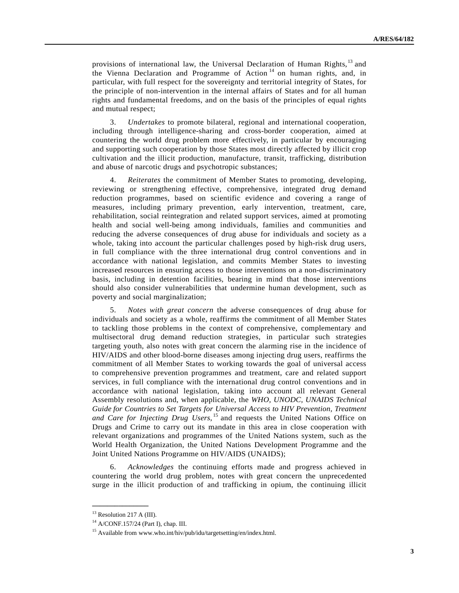provisions of international law, the Universal Declaration of Human Rights,<sup>13</sup> and the Vienna Declaration and Programme of Action<sup>14</sup> on human rights, and, in particular, with full respect for the sovereignty and territorial integrity of States, for the principle of non-intervention in the internal affairs of States and for all human rights and fundamental freedoms, and on the basis of the principles of equal rights and mutual respect;

 3. *Undertakes* to promote bilateral, regional and international cooperation, including through intelligence-sharing and cross-border cooperation, aimed at countering the world drug problem more effectively, in particular by encouraging and supporting such cooperation by those States most directly affected by illicit crop cultivation and the illicit production, manufacture, transit, trafficking, distribution and abuse of narcotic drugs and psychotropic substances;

 4. *Reiterates* the commitment of Member States to promoting, developing, reviewing or strengthening effective, comprehensive, integrated drug demand reduction programmes, based on scientific evidence and covering a range of measures, including primary prevention, early intervention, treatment, care, rehabilitation, social reintegration and related support services, aimed at promoting health and social well-being among individuals, families and communities and reducing the adverse consequences of drug abuse for individuals and society as a whole, taking into account the particular challenges posed by high-risk drug users, in full compliance with the three international drug control conventions and in accordance with national legislation, and commits Member States to investing increased resources in ensuring access to those interventions on a non-discriminatory basis, including in detention facilities, bearing in mind that those interventions should also consider vulnerabilities that undermine human development, such as poverty and social marginalization;

 5. *Notes with great concern* the adverse consequences of drug abuse for individuals and society as a whole, reaffirms the commitment of all Member States to tackling those problems in the context of comprehensive, complementary and multisectoral drug demand reduction strategies, in particular such strategies targeting youth, also notes with great concern the alarming rise in the incidence of HIV/AIDS and other blood-borne diseases among injecting drug users, reaffirms the commitment of all Member States to working towards the goal of universal access to comprehensive prevention programmes and treatment, care and related support services, in full compliance with the international drug control conventions and in accordance with national legislation, taking into account all relevant General Assembly resolutions and, when applicable, the *WHO, UNODC, UNAIDS Technical Guide for Countries to Set Targets for Universal Access to HIV Prevention, Treatment*  and Care for Injecting Drug Users, <sup>15</sup> and requests the United Nations Office on Drugs and Crime to carry out its mandate in this area in close cooperation with relevant organizations and programmes of the United Nations system, such as the World Health Organization, the United Nations Development Programme and the Joint United Nations Programme on HIV/AIDS (UNAIDS);

 6. *Acknowledges* the continuing efforts made and progress achieved in countering the world drug problem, notes with great concern the unprecedented surge in the illicit production of and trafficking in opium, the continuing illicit

**\_\_\_\_\_\_\_\_\_\_\_\_\_\_\_**  <sup>13</sup> Resolution 217 A (III).

<sup>14</sup> A/CONF.157/24 (Part I), chap. III.

<sup>&</sup>lt;sup>15</sup> Available from www.who.int/hiv/pub/idu/targetsetting/en/index.html.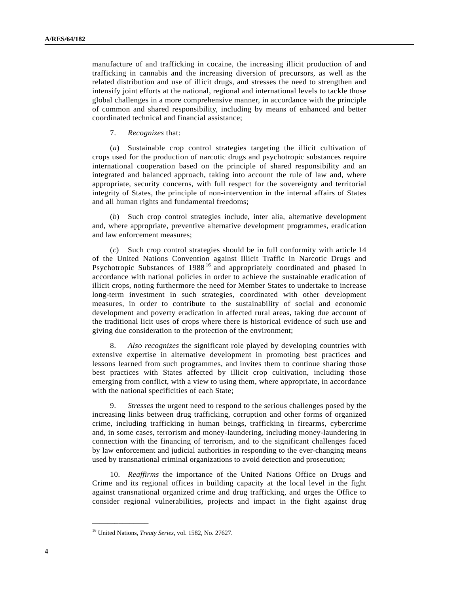manufacture of and trafficking in cocaine, the increasing illicit production of and trafficking in cannabis and the increasing diversion of precursors, as well as the related distribution and use of illicit drugs, and stresses the need to strengthen and intensify joint efforts at the national, regional and international levels to tackle those global challenges in a more comprehensive manner, in accordance with the principle of common and shared responsibility, including by means of enhanced and better coordinated technical and financial assistance;

7. *Recognizes* that:

 (*a*) Sustainable crop control strategies targeting the illicit cultivation of crops used for the production of narcotic drugs and psychotropic substances require international cooperation based on the principle of shared responsibility and an integrated and balanced approach, taking into account the rule of law and, where appropriate, security concerns, with full respect for the sovereignty and territorial integrity of States, the principle of non-intervention in the internal affairs of States and all human rights and fundamental freedoms;

 (*b*) Such crop control strategies include, inter alia, alternative development and, where appropriate, preventive alternative development programmes, eradication and law enforcement measures;

 (*c*) Such crop control strategies should be in full conformity with article 14 of the United Nations Convention against Illicit Traffic in Narcotic Drugs and Psychotropic Substances of 1988<sup>16</sup> and appropriately coordinated and phased in accordance with national policies in order to achieve the sustainable eradication of illicit crops, noting furthermore the need for Member States to undertake to increase long-term investment in such strategies, coordinated with other development measures, in order to contribute to the sustainability of social and economic development and poverty eradication in affected rural areas, taking due account of the traditional licit uses of crops where there is historical evidence of such use and giving due consideration to the protection of the environment;

 8. *Also recognizes* the significant role played by developing countries with extensive expertise in alternative development in promoting best practices and lessons learned from such programmes, and invites them to continue sharing those best practices with States affected by illicit crop cultivation, including those emerging from conflict, with a view to using them, where appropriate, in accordance with the national specificities of each State;

 9. *Stresses* the urgent need to respond to the serious challenges posed by the increasing links between drug trafficking, corruption and other forms of organized crime, including trafficking in human beings, trafficking in firearms, cybercrime and, in some cases, terrorism and money-laundering, including money-laundering in connection with the financing of terrorism, and to the significant challenges faced by law enforcement and judicial authorities in responding to the ever-changing means used by transnational criminal organizations to avoid detection and prosecution;

 10. *Reaffirms* the importance of the United Nations Office on Drugs and Crime and its regional offices in building capacity at the local level in the fight against transnational organized crime and drug trafficking, and urges the Office to consider regional vulnerabilities, projects and impact in the fight against drug

<sup>16</sup> United Nations, *Treaty Series*, vol. 1582, No. 27627.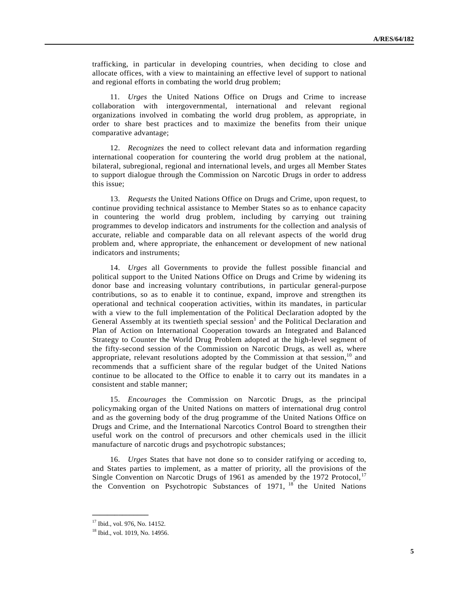trafficking, in particular in developing countries, when deciding to close and allocate offices, with a view to maintaining an effective level of support to national and regional efforts in combating the world drug problem;

 11. *Urges* the United Nations Office on Drugs and Crime to increase collaboration with intergovernmental, international and relevant regional organizations involved in combating the world drug problem, as appropriate, in order to share best practices and to maximize the benefits from their unique comparative advantage;

 12. *Recognizes* the need to collect relevant data and information regarding international cooperation for countering the world drug problem at the national, bilateral, subregional, regional and international levels, and urges all Member States to support dialogue through the Commission on Narcotic Drugs in order to address this issue;

 13. *Requests* the United Nations Office on Drugs and Crime, upon request, to continue providing technical assistance to Member States so as to enhance capacity in countering the world drug problem, including by carrying out training programmes to develop indicators and instruments for the collection and analysis of accurate, reliable and comparable data on all relevant aspects of the world drug problem and, where appropriate, the enhancement or development of new national indicators and instruments;

 14. *Urges* all Governments to provide the fullest possible financial and political support to the United Nations Office on Drugs and Crime by widening its donor base and increasing voluntary contributions, in particular general-purpose contributions, so as to enable it to continue, expand, improve and strengthen its operational and technical cooperation activities, within its mandates, in particular with a view to the full implementation of the Political Declaration adopted by the General Assembly at its twentieth special session<sup>1</sup> and the Political Declaration and Plan of Action on International Cooperation towards an Integrated and Balanced Strategy to Counter the World Drug Problem adopted at the high-level segment of the fifty-second session of the Commission on Narcotic Drugs, as well as, where appropriate, relevant resolutions adopted by the Commission at that session,  $10$  and recommends that a sufficient share of the regular budget of the United Nations continue to be allocated to the Office to enable it to carry out its mandates in a consistent and stable manner;

 15. *Encourages* the Commission on Narcotic Drugs, as the principal policymaking organ of the United Nations on matters of international drug control and as the governing body of the drug programme of the United Nations Office on Drugs and Crime, and the International Narcotics Control Board to strengthen their useful work on the control of precursors and other chemicals used in the illicit manufacture of narcotic drugs and psychotropic substances;

 16. *Urges* States that have not done so to consider ratifying or acceding to, and States parties to implement, as a matter of priority, all the provisions of the Single Convention on Narcotic Drugs of 1961 as amended by the 1972 Protocol,  $17$ the Convention on Psychotropic Substances of 1971,  $18$  the United Nations

<sup>&</sup>lt;sup>17</sup> Ibid., vol. 976, No. 14152.

<sup>18</sup> Ibid., vol. 1019, No. 14956.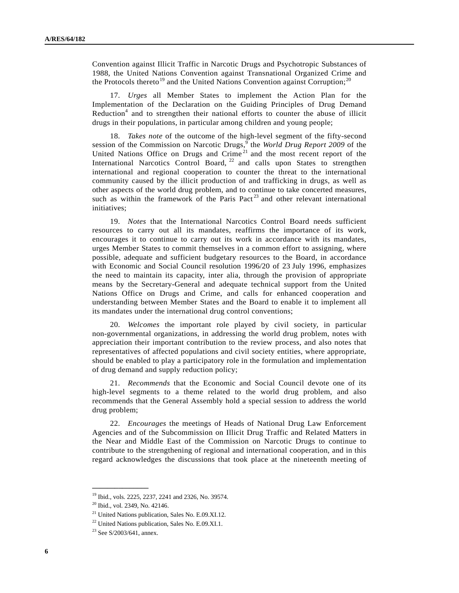Convention against Illicit Traffic in Narcotic Drugs and Psychotropic Substances of 1988, the United Nations Convention against Transnational Organized Crime and the Protocols thereto<sup>19</sup> and the United Nations Convention against Corruption;<sup>20</sup>

 17. *Urges* all Member States to implement the Action Plan for the Implementation of the Declaration on the Guiding Principles of Drug Demand Reduction<sup>4</sup> and to strengthen their national efforts to counter the abuse of illicit drugs in their populations, in particular among children and young people;

 18. *Takes note* of the outcome of the high-level segment of the fifty-second session of the Commission on Narcotic Drugs,<sup>9</sup> the *World Drug Report 2009* of the United Nations Office on Drugs and Crime<sup>21</sup> and the most recent report of the International Narcotics Control Board,  $^{22}$  and calls upon States to strengthen international and regional cooperation to counter the threat to the international community caused by the illicit production of and trafficking in drugs, as well as other aspects of the world drug problem, and to continue to take concerted measures, such as within the framework of the Paris Pact<sup>23</sup> and other relevant international initiatives;

 19. *Notes* that the International Narcotics Control Board needs sufficient resources to carry out all its mandates, reaffirms the importance of its work, encourages it to continue to carry out its work in accordance with its mandates, urges Member States to commit themselves in a common effort to assigning, where possible, adequate and sufficient budgetary resources to the Board, in accordance with Economic and Social Council resolution 1996/20 of 23 July 1996, emphasizes the need to maintain its capacity, inter alia, through the provision of appropriate means by the Secretary-General and adequate technical support from the United Nations Office on Drugs and Crime, and calls for enhanced cooperation and understanding between Member States and the Board to enable it to implement all its mandates under the international drug control conventions;

 20. *Welcomes* the important role played by civil society, in particular non-governmental organizations, in addressing the world drug problem, notes with appreciation their important contribution to the review process, and also notes that representatives of affected populations and civil society entities, where appropriate, should be enabled to play a participatory role in the formulation and implementation of drug demand and supply reduction policy;

 21. *Recommends* that the Economic and Social Council devote one of its high-level segments to a theme related to the world drug problem, and also recommends that the General Assembly hold a special session to address the world drug problem;

 22. *Encourages* the meetings of Heads of National Drug Law Enforcement Agencies and of the Subcommission on Illicit Drug Traffic and Related Matters in the Near and Middle East of the Commission on Narcotic Drugs to continue to contribute to the strengthening of regional and international cooperation, and in this regard acknowledges the discussions that took place at the nineteenth meeting of

<sup>&</sup>lt;sup>19</sup> Ibid., vols. 2225, 2237, 2241 and 2326, No. 39574.

<sup>20</sup> Ibid., vol. 2349, No. 42146.

<sup>21</sup> United Nations publication, Sales No. E.09.XI.12.

<sup>22</sup> United Nations publication, Sales No. E.09.XI.1.

 $23$  See S/2003/641, annex.